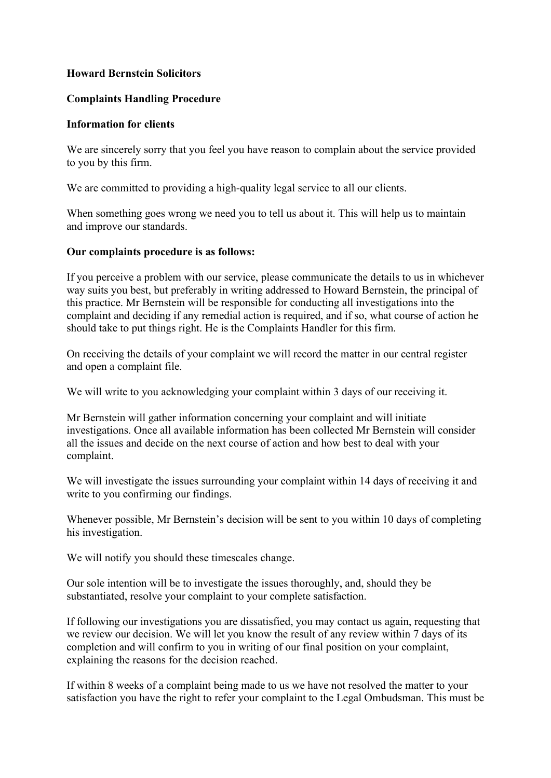## **Howard Bernstein Solicitors**

#### **Complaints Handling Procedure**

#### **Information for clients**

We are sincerely sorry that you feel you have reason to complain about the service provided to you by this firm.

We are committed to providing a high-quality legal service to all our clients.

When something goes wrong we need you to tell us about it. This will help us to maintain and improve our standards.

### **Our complaints procedure is as follows:**

If you perceive a problem with our service, please communicate the details to us in whichever way suits you best, but preferably in writing addressed to Howard Bernstein, the principal of this practice. Mr Bernstein will be responsible for conducting all investigations into the complaint and deciding if any remedial action is required, and if so, what course of action he should take to put things right. He is the Complaints Handler for this firm.

On receiving the details of your complaint we will record the matter in our central register and open a complaint file.

We will write to you acknowledging your complaint within 3 days of our receiving it.

Mr Bernstein will gather information concerning your complaint and will initiate investigations. Once all available information has been collected Mr Bernstein will consider all the issues and decide on the next course of action and how best to deal with your complaint.

We will investigate the issues surrounding your complaint within 14 days of receiving it and write to you confirming our findings.

Whenever possible, Mr Bernstein's decision will be sent to you within 10 days of completing his investigation.

We will notify you should these timescales change.

Our sole intention will be to investigate the issues thoroughly, and, should they be substantiated, resolve your complaint to your complete satisfaction.

If following our investigations you are dissatisfied, you may contact us again, requesting that we review our decision. We will let you know the result of any review within 7 days of its completion and will confirm to you in writing of our final position on your complaint, explaining the reasons for the decision reached.

If within 8 weeks of a complaint being made to us we have not resolved the matter to your satisfaction you have the right to refer your complaint to the Legal Ombudsman. This must be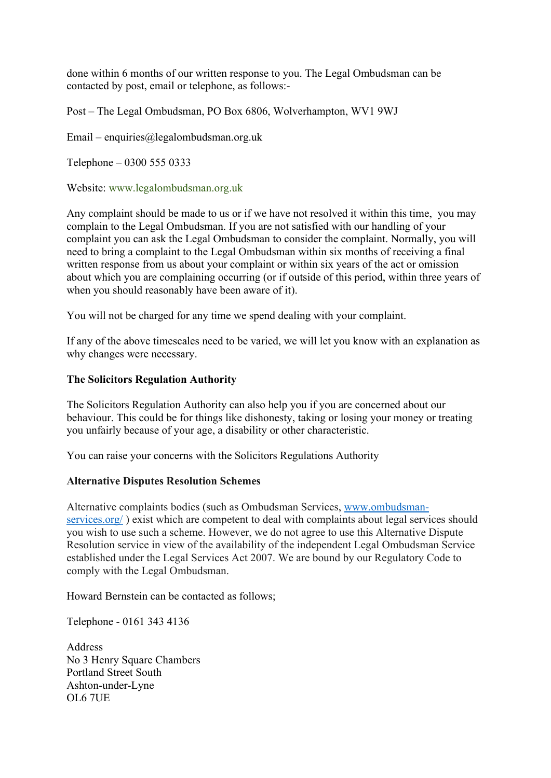done within 6 months of our written response to you. The Legal Ombudsman can be contacted by post, email or telephone, as follows:-

Post – The Legal Ombudsman, PO Box 6806, Wolverhampton, WV1 9WJ

Email – enquiries@legalombudsman.org.uk

Telephone – 0300 555 0333

Website: [www.legalombudsman.org.uk](http://www.legalombudsman.org.uk/)

Any complaint should be made to us or if we have not resolved it within this time, you may complain to the Legal Ombudsman. If you are not satisfied with our handling of your complaint you can ask the Legal Ombudsman to consider the complaint. Normally, you will need to bring a complaint to the Legal Ombudsman within six months of receiving a final written response from us about your complaint or within six years of the act or omission about which you are complaining occurring (or if outside of this period, within three years of when you should reasonably have been aware of it).

You will not be charged for any time we spend dealing with your complaint.

If any of the above timescales need to be varied, we will let you know with an explanation as why changes were necessary.

### **The Solicitors Regulation Authority**

The Solicitors Regulation Authority can also help you if you are concerned about our behaviour. This could be for things like dishonesty, taking or losing your money or treating you unfairly because of your age, a disability or other characteristic.

You can raise your concerns with the Solicitors Regulations Authority

# **Alternative Disputes Resolution Schemes**

Alternative complaints bodies (such as Ombudsman Services, [www.ombudsman](http://www.ombudsman-services.org/)[services.org/](http://www.ombudsman-services.org/)) exist which are competent to deal with complaints about legal services should you wish to use such a scheme. However, we do not agree to use this Alternative Dispute Resolution service in view of the availability of the independent Legal Ombudsman Service established under the Legal Services Act 2007. We are bound by our Regulatory Code to comply with the Legal Ombudsman.

Howard Bernstein can be contacted as follows;

Telephone - 0161 343 4136

**Address** No 3 Henry Square Chambers Portland Street South Ashton-under-Lyne OL6 7UE